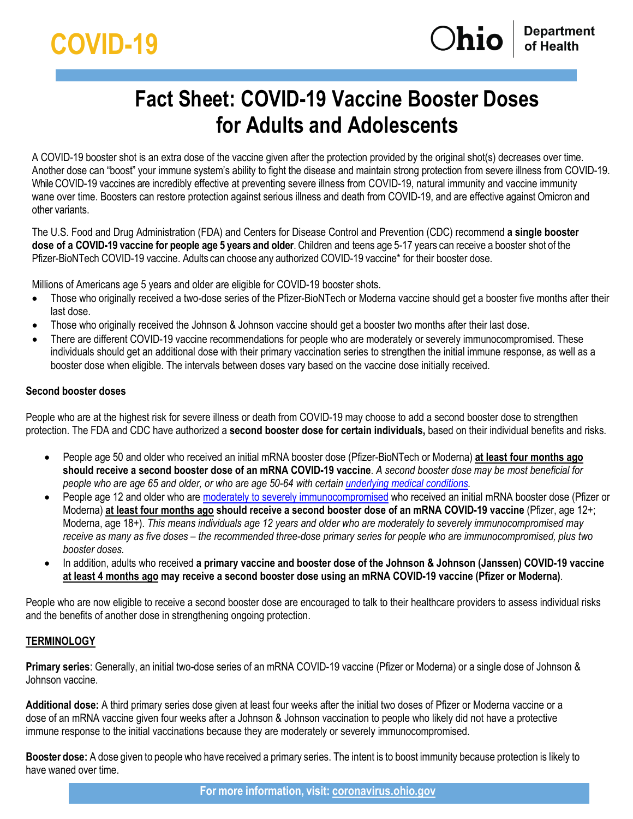# **Fact Sheet: COVID-19 Vaccine Booster Doses for Adults and Adolescents**

A COVID-19 booster shot is an extra dose of the vaccine given after the protection provided by the original shot(s) decreases over time. Another dose can "boost" your immune system's ability to fight the disease and maintain strong protection from severe illness from COVID-19. While COVID-19 vaccines are incredibly effective at preventing severe illness from COVID-19, natural immunity and vaccine immunity wane over time. Boosters can restore protection against serious illness and death from COVID-19, and are effective against Omicron and other variants.

The U.S. Food and Drug Administration (FDA) and Centers for Disease Control and Prevention (CDC) recommend **a single booster dose of a COVID-19 vaccine for people age 5 years and older**. Children and teens age 5-17 years can receive a booster shot of the Pfizer-BioNTech COVID-19 vaccine. Adults can choose any authorized COVID-19 vaccine\* for their booster dose.

Millions of Americans age 5 years and older are eligible for COVID-19 booster shots.

- Those who originally received a two-dose series of the Pfizer-BioNTech or Moderna vaccine should get a booster five months after their last dose.
- Those who originally received the Johnson & Johnson vaccine should get a booster two months after their last dose.
- There are different COVID-19 vaccine recommendations for people who are moderately or severely immunocompromised. These individuals should get an [additional dose](https://coronavirus.ohio.gov/static/docs/covid-19-fact-sheet-additional-dose-immunocompromised.pdf) with their primary vaccination series to strengthen the initial immune response, as well as a booster dose when eligible. The intervals between doses vary based on the vaccine dose initially received.

# **Second booster doses**

People who are at the highest risk for severe illness or death from COVID-19 may choose to add a second booster dose to strengthen protection. The FDA and CDC have authorized a **second booster dose for certain individuals,** based on their individual benefits and risks.

- People age 50 and older who received an initial mRNA booster dose (Pfizer-BioNTech or Moderna) **at least four months ago should receive a second booster dose of an mRNA COVID-19 vaccine**. *A second booster dose may be most beneficial for people who are age 65 and older, or who are age 50-64 with certai[n underlying medical conditions.](https://www.cdc.gov/coronavirus/2019-ncov/hcp/clinical-care/underlyingconditions.html)*
- People age 12 and older who are [moderately to severely immunocompromised](https://www.cdc.gov/coronavirus/2019-ncov/vaccines/recommendations/immuno.html?s_cid=10483:immunocompromised%20covid%20vaccine:sem.ga:p:RG:GM:gen:PTN:FY21#mod) who received an initial mRNA booster dose (Pfizer or Moderna) **at least four months ago should receive a second booster dose of an mRNA COVID-19 vaccine** (Pfizer, age 12+; Moderna, age 18+). *This means individuals age 12 years and older who are moderately to severely immunocompromised may receive as many as five doses – the recommended three-dose primary series for people who are immunocompromised, plus two booster doses.*
- In addition, adults who received **a primary vaccine and booster dose of the Johnson & Johnson (Janssen) COVID-19 vaccine at least 4 months ago may receive a second booster dose using an mRNA COVID-19 vaccine (Pfizer or Moderna)**.

People who are now eligible to receive a second booster dose are encouraged to talk to their healthcare providers to assess individual risks and the benefits of another dose in strengthening ongoing protection.

# **TERMINOLOGY**

**Primary series**: Generally, an initial two-dose series of an mRNA COVID-19 vaccine (Pfizer or Moderna) or a single dose of Johnson & Johnson vaccine.

**Additional dose:** A third primary series dose given at least four weeks after the initial two doses of Pfizer or Moderna vaccine or a dose of an mRNA vaccine given four weeks after a Johnson & Johnson vaccination to people who likely did not have a protective immune response to the initial vaccinations because they are moderately or severely immunocompromised.

**Booster dose:** A dose given to people who have received a primary series. The intent is to boost immunity because protection is likely to have waned over time.

**For more information, visit: [coronavirus.ohio.gov](http://coronavirus.ohio.gov/)**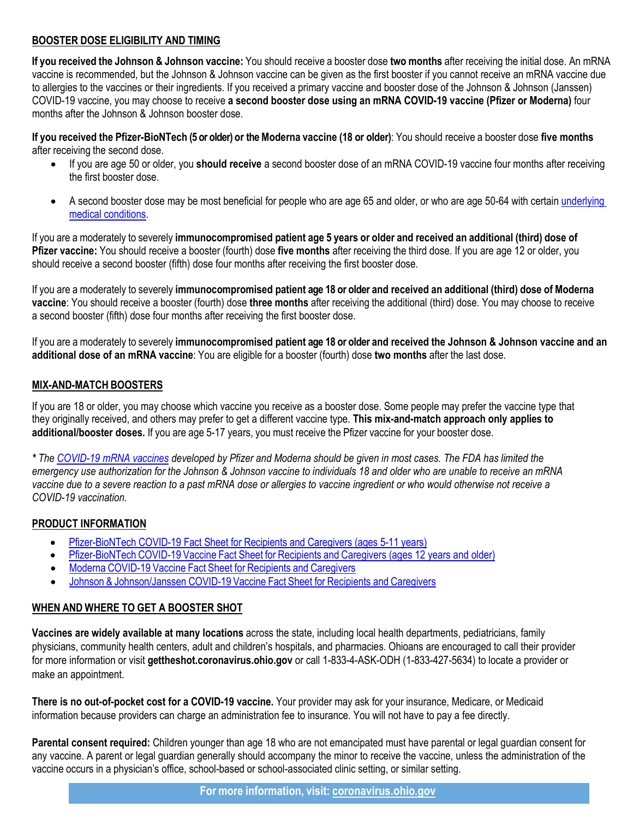### **BOOSTER DOSE ELIGIBILITY AND TIMING**

**If you received the Johnson & Johnson vaccine:** You should receive a booster dose **two months** after receiving the initial dose. An mRNA vaccine is recommended, but the Johnson & Johnson vaccine can be given as the first booster if you cannot receive an mRNA vaccine due to allergies to the vaccines or their ingredients. If you received a primary vaccine and booster dose of the Johnson & Johnson (Janssen) COVID-19 vaccine, you may choose to receive **a second booster dose using an mRNA COVID-19 vaccine (Pfizer or Moderna)** four months after the Johnson & Johnson booster dose.

**If you received the Pfizer-BioNTech (5 or older) or the Moderna vaccine (18 or older)**: You should receive a booster dose **five months** after receiving the second dose.

- If you are age 50 or older, you **should receive** a second booster dose of an mRNA COVID-19 vaccine four months after receiving the first booster dose.
- A second booster dose may be most beneficial for people who are age 65 and older, or who are age 50-64 with certain [underlying](https://www.cdc.gov/coronavirus/2019-ncov/hcp/clinical-care/underlyingconditions.html)  [medical conditions.](https://www.cdc.gov/coronavirus/2019-ncov/hcp/clinical-care/underlyingconditions.html)

If you are a moderately to severely **immunocompromised patient age 5 years or older and received an additional (third) dose of Pfizer vaccine:** You should receive a booster (fourth) dose **five months** after receiving the third dose. If you are age 12 or older, you should receive a second booster (fifth) dose four months after receiving the first booster dose.

If you are a moderately to severely **immunocompromised patient age 18 or older and received an additional (third) dose of Moderna vaccine**: You should receive a booster (fourth) dose **three months** after receiving the additional (third) dose. You may choose to receive a second booster (fifth) dose four months after receiving the first booster dose.

If you are a moderately to severely **immunocompromised patient age 18 or older and received the Johnson & Johnson vaccine and an additional dose of an mRNA vaccine**: You are eligible for a booster (fourth) dose **two months** after the last dose.

#### **MIX-AND-MATCH BOOSTERS**

If you are 18 or older, you may choose which vaccine you receive as a booster dose. Some people may prefer the vaccine type that they originally received, and others may prefer to get a different vaccine type. **This mix-and-match approach only applies to additional/booster doses.** If you are age 5-17 years, you must receive the Pfizer vaccine for your booster dose.

*\* The [COVID-19 mRNA vaccines](https://www.cdc.gov/media/releases/2021/s1216-covid-19-vaccines.html) developed by Pfizer and Moderna should be given in most cases. The FDA has limited the emergency use authorization for the Johnson & Johnson vaccine to individuals 18 and older who are unable to receive an mRNA vaccine due to a severe reaction to a past mRNA dose or allergies to vaccine ingredient or who would otherwise not receive a COVID-19 vaccination.*

## **PRODUCT INFORMATION**

- [Pfizer-BioNTech COVID-19 Fact Sheet for Recipients and Caregivers \(ages 5-11 years\)](https://www.fda.gov/media/153716/download)
- Pfizer-BioNTech COVID-19 Vaccine Fact Sheet for Recipients and Caregivers [\(ages 12 years and older\)](https://www.fda.gov/media/153716/download)
- Moderna COVID-19 Vaccine Fact Sheet for Recipients and [Caregivers](https://www.fda.gov/media/144638/download)
- Johnson & [Johnson/Janssen](https://www.fda.gov/media/146305/download) COVID-19 Vaccine Fact Sheet for Recipients and Caregivers

## **WHEN AND WHERE TO GET A BOOSTER SHOT**

**Vaccines are widely available at many locations** across the state, including local health departments, pediatricians, family physicians, community health centers, adult and children's hospitals, and pharmacies. Ohioans are encouraged to call their provider for more information or visit **[gettheshot.coronavirus.ohio.gov](https://gettheshot.coronavirus.ohio.gov/)** or call 1-833-4-ASK-ODH (1-833-427-5634) to locate a provider or make an appointment.

**There is no out-of-pocket cost for a COVID-19 vaccine.** Your provider may ask for your insurance, Medicare, or Medicaid information because providers can charge an administration fee to insurance. You will not have to pay a fee directly.

**Parental consent required:** Children younger than age 18 who are not emancipated must have parental or legal guardian consent for any vaccine. A parent or legal guardian generally should accompany the minor to receive the vaccine, unless the administration of the vaccine occurs in a physician's office, school-based or school-associated clinic setting, or similar setting.

**For more information, visit: [coronavirus.ohio.gov](http://coronavirus.ohio.gov/)**